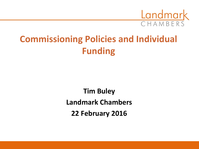

### **Commissioning Policies and Individual Funding**

**Tim Buley Landmark Chambers 22 February 2016**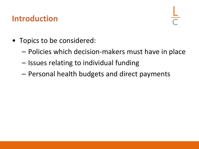### **Introduction**

- Topics to be considered:
	- Policies which decision-makers must have in place
	- Issues relating to individual funding
	- Personal health budgets and direct payments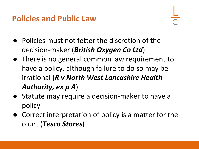### **Policies and Public Law**

- Policies must not fetter the discretion of the decision-maker (*British Oxygen Co Ltd*)
- There is no general common law requirement to have a policy, although failure to do so may be irrational (*R v North West Lancashire Health Authority, ex p A*)
- Statute may require a decision-maker to have a policy
- Correct interpretation of policy is a matter for the court (*Tesco Stores*)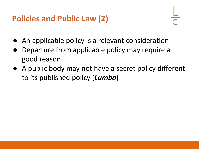### **Policies and Public Law (2)**

- An applicable policy is a relevant consideration
- Departure from applicable policy may require a good reason
- A public body may not have a secret policy different to its published policy (*Lumba*)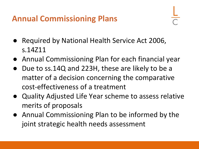### **Annual Commissioning Plans**

- Required by National Health Service Act 2006, s.14Z11
- Annual Commissioning Plan for each financial year
- Due to ss.14Q and 223H, these are likely to be a matter of a decision concerning the comparative cost-effectiveness of a treatment
- Quality Adjusted Life Year scheme to assess relative merits of proposals
- Annual Commissioning Plan to be informed by the joint strategic health needs assessment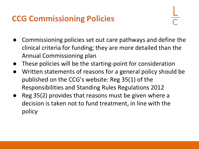### **CCG Commissioning Policies**

- Commissioning policies set out care pathways and define the clinical criteria for funding; they are more detailed than the Annual Commissioning plan
- These policies will be the starting-point for consideration
- Written statements of reasons for a general policy should be published on the CCG's website: Reg 35(1) of the Responsibilities and Standing Rules Regulations 2012
- Reg 35(2) provides that reasons must be given where a decision is taken not to fund treatment, in line with the policy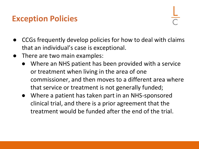#### **Exception Policies**

- CCGs frequently develop policies for how to deal with claims that an individual's case is exceptional.
- There are two main examples:
	- Where an NHS patient has been provided with a service or treatment when living in the area of one commissioner, and then moves to a different area where that service or treatment is not generally funded;
	- Where a patient has taken part in an NHS-sponsored clinical trial, and there is a prior agreement that the treatment would be funded after the end of the trial.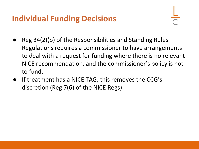### **Individual Funding Decisions**

- Reg 34(2)(b) of the Responsibilities and Standing Rules Regulations requires a commissioner to have arrangements to deal with a request for funding where there is no relevant NICE recommendation, and the commissioner's policy is not to fund.
- If treatment has a NICE TAG, this removes the CCG's discretion (Reg 7(6) of the NICE Regs).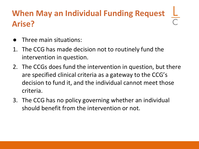### **When May an Individual Funding Request Arise?**

- Three main situations:
- 1. The CCG has made decision not to routinely fund the intervention in question.
- 2. The CCGs does fund the intervention in question, but there are specified clinical criteria as a gateway to the CCG's decision to fund it, and the individual cannot meet those criteria.
- 3. The CCG has no policy governing whether an individual should benefit from the intervention or not.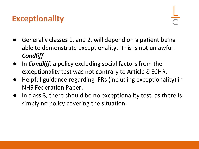### **Exceptionality**

- Generally classes 1. and 2. will depend on a patient being able to demonstrate exceptionality. This is not unlawful: *Condliff*.
- In *Condliff*, a policy excluding social factors from the exceptionality test was not contrary to Article 8 ECHR.
- Helpful guidance regarding IFRs (including exceptionality) in NHS Federation Paper.
- In class 3, there should be no exceptionality test, as there is simply no policy covering the situation.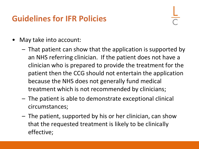### **Guidelines for IFR Policies**

- May take into account:
	- That patient can show that the application is supported by an NHS referring clinician. If the patient does not have a clinician who is prepared to provide the treatment for the patient then the CCG should not entertain the application because the NHS does not generally fund medical treatment which is not recommended by clinicians;
	- The patient is able to demonstrate exceptional clinical circumstances;
	- The patient, supported by his or her clinician, can show that the requested treatment is likely to be clinically effective;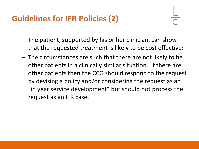### **Guidelines for IFR Policies (2)**

- The patient, supported by his or her clinician, can show that the requested treatment is likely to be cost effective;
- The circumstances are such that there are not likely to be other patients in a clinically similar situation. If there are other patients then the CCG should respond to the request by devising a policy and/or considering the request as an "in year service development" but should not process the request as an IFR case.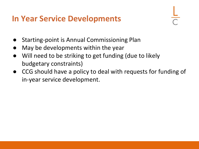#### **In Year Service Developments**

- Starting-point is Annual Commissioning Plan
- May be developments within the year
- Will need to be striking to get funding (due to likely budgetary constraints)
- CCG should have a policy to deal with requests for funding of in-year service development.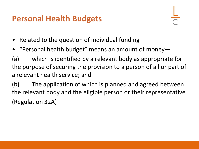### **Personal Health Budgets**

- Related to the question of individual funding
- "Personal health budget" means an amount of money-

(a) which is identified by a relevant body as appropriate for the purpose of securing the provision to a person of all or part of a relevant health service; and

(b) The application of which is planned and agreed between the relevant body and the eligible person or their representative (Regulation 32A)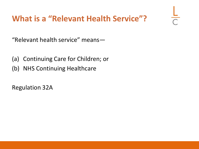### **What is a "Relevant Health Service"?**

"Relevant health service" means—

- (a) Continuing Care for Children; or
- (b) NHS Continuing Healthcare

Regulation 32A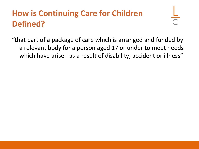### **How is Continuing Care for Children Defined?**

"that part of a package of care which is arranged and funded by a relevant body for a person aged 17 or under to meet needs which have arisen as a result of disability, accident or illness"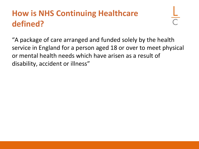### **How is NHS Continuing Healthcare defined?**

"A package of care arranged and funded solely by the health service in England for a person aged 18 or over to meet physical or mental health needs which have arisen as a result of disability, accident or illness"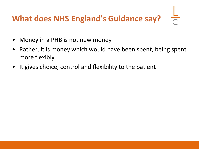### **What does NHS England's Guidance say?**

- Money in a PHB is not new money
- Rather, it is money which would have been spent, being spent more flexibly
- It gives choice, control and flexibility to the patient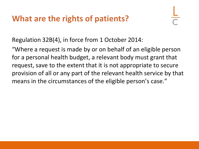### **What are the rights of patients?**

Regulation 32B(4), in force from 1 October 2014:

"Where a request is made by or on behalf of an eligible person for a personal health budget, a relevant body must grant that request, save to the extent that it is not appropriate to secure provision of all or any part of the relevant health service by that means in the circumstances of the eligible person's case."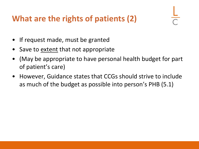### **What are the rights of patients (2)**

- If request made, must be granted
- Save to extent that not appropriate
- (May be appropriate to have personal health budget for part of patient's care)
- However, Guidance states that CCGs should strive to include as much of the budget as possible into person's PHB (5.1)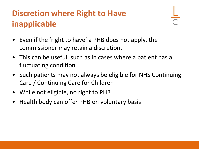### **Discretion where Right to Have inapplicable**

- Even if the 'right to have' a PHB does not apply, the commissioner may retain a discretion.
- This can be useful, such as in cases where a patient has a fluctuating condition.
- Such patients may not always be eligible for NHS Continuing Care / Continuing Care for Children
- While not eligible, no right to PHB
- Health body can offer PHB on voluntary basis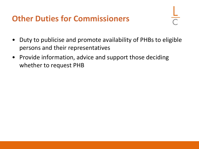### **Other Duties for Commissioners**

- Duty to publicise and promote availability of PHBs to eligible persons and their representatives
- Provide information, advice and support those deciding whether to request PHB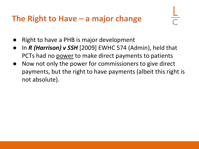### **The Right to Have – a major change**

- Right to have a PHB is major development
- In *R* (*Harrison*) v SSH [2009] EWHC 574 (Admin), held that PCTs had no power to make direct payments to patients
- Now not only the power for commissioners to give direct payments, but the right to have payments (albeit this right is not absolute).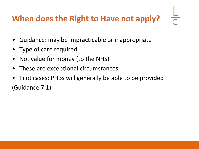### **When does the Right to Have not apply?**

- Guidance: may be impracticable or inappropriate
- Type of care required
- Not value for money (to the NHS)
- These are exceptional circumstances
- Pilot cases: PHBs will generally be able to be provided (Guidance 7.1)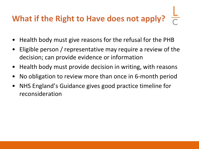# **What if the Right to Have does not apply?**

- Health body must give reasons for the refusal for the PHB
- Eligible person / representative may require a review of the decision; can provide evidence or information
- Health body must provide decision in writing, with reasons
- No obligation to review more than once in 6-month period
- NHS England's Guidance gives good practice timeline for reconsideration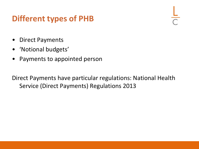### **Different types of PHB**

- Direct Payments
- 'Notional budgets'
- Payments to appointed person

Direct Payments have particular regulations: National Health Service (Direct Payments) Regulations 2013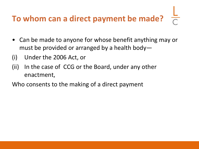## **To whom can a direct payment be made?**

- Can be made to anyone for whose benefit anything may or must be provided or arranged by a health body—
- (i) Under the 2006 Act, or
- (ii) In the case of CCG or the Board, under any other enactment,
- Who consents to the making of a direct payment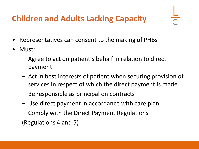### **Children and Adults Lacking Capacity**

- Representatives can consent to the making of PHBs
- Must:
	- Agree to act on patient's behalf in relation to direct payment
	- Act in best interests of patient when securing provision of services in respect of which the direct payment is made
	- Be responsible as principal on contracts
	- Use direct payment in accordance with care plan
	- Comply with the Direct Payment Regulations (Regulations 4 and 5)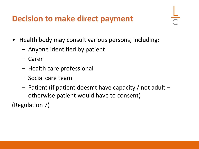### **Decision to make direct payment**

- 
- Health body may consult various persons, including:
	- Anyone identified by patient
	- Carer
	- Health care professional
	- Social care team
	- Patient (if patient doesn't have capacity / not adult otherwise patient would have to consent)

(Regulation 7)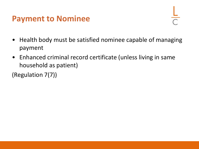#### **Payment to Nominee**

- Health body must be satisfied nominee capable of managing payment
- Enhanced criminal record certificate (unless living in same household as patient)

(Regulation 7(7))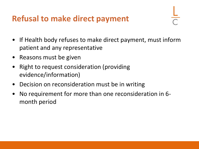### **Refusal to make direct payment**

- If Health body refuses to make direct payment, must inform patient and any representative
- Reasons must be given
- Right to request consideration (providing evidence/information)
- Decision on reconsideration must be in writing
- No requirement for more than one reconsideration in 6 month period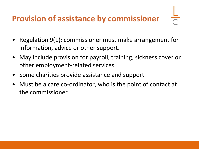### **Provision of assistance by commissioner**

- Regulation 9(1): commissioner must make arrangement for information, advice or other support.
- May include provision for payroll, training, sickness cover or other employment-related services
- Some charities provide assistance and support
- Must be a care co-ordinator, who is the point of contact at the commissioner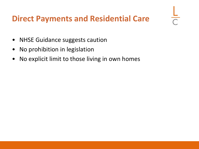### **Direct Payments and Residential Care**

- NHSE Guidance suggests caution
- No prohibition in legislation
- No explicit limit to those living in own homes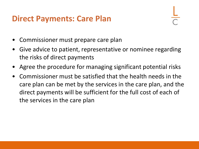#### **Direct Payments: Care Plan**

- Commissioner must prepare care plan
- Give advice to patient, representative or nominee regarding the risks of direct payments
- Agree the procedure for managing significant potential risks
- Commissioner must be satisfied that the health needs in the care plan can be met by the services in the care plan, and the direct payments will be sufficient for the full cost of each of the services in the care plan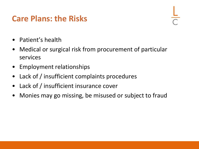### **Care Plans: the Risks**

- Patient's health
- Medical or surgical risk from procurement of particular services
- Employment relationships
- Lack of / insufficient complaints procedures
- Lack of / insufficient insurance cover
- Monies may go missing, be misused or subject to fraud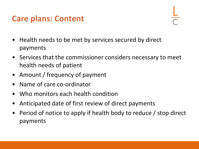### **Care plans: Content**

- Health needs to be met by services secured by direct payments
- Services that the commissioner considers necessary to meet health needs of patient
- Amount / frequency of payment
- Name of care co-ordinator
- Who monitors each health condition
- Anticipated date of first review of direct payments
- Period of notice to apply if health body to reduce / stop direct payments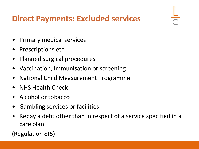### **Direct Payments: Excluded services**

- Primary medical services
- Prescriptions etc
- Planned surgical procedures
- Vaccination, immunisation or screening
- National Child Measurement Programme
- NHS Health Check
- Alcohol or tobacco
- Gambling services or facilities
- Repay a debt other than in respect of a service specified in a care plan

(Regulation 8(5)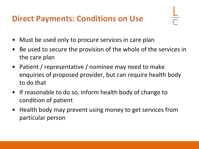### **Direct Payments: Conditions on Use**

- 
- Must be used only to procure services in care plan
- Be used to secure the provision of the whole of the services in the care plan
- Patient / representative / nominee may need to make enquiries of proposed provider, but can require health body to do that
- If reasonable to do so, inform health body of change to condition of patient
- Health body may prevent using money to get services from particular person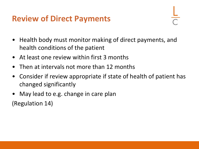### **Review of Direct Payments**

- Health body must monitor making of direct payments, and health conditions of the patient
- At least one review within first 3 months
- Then at intervals not more than 12 months
- Consider if review appropriate if state of health of patient has changed significantly
- May lead to e.g. change in care plan

(Regulation 14)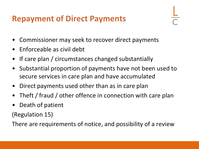### **Repayment of Direct Payments**

- Commissioner may seek to recover direct payments
- Enforceable as civil debt
- If care plan / circumstances changed substantially
- Substantial proportion of payments have not been used to secure services in care plan and have accumulated
- Direct payments used other than as in care plan
- Theft / fraud / other offence in connection with care plan
- Death of patient

(Regulation 15)

There are requirements of notice, and possibility of a review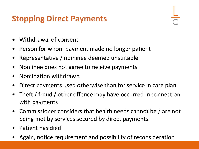### **Stopping Direct Payments**

- Withdrawal of consent
- Person for whom payment made no longer patient
- Representative / nominee deemed unsuitable
- Nominee does not agree to receive payments
- Nomination withdrawn
- Direct payments used otherwise than for service in care plan
- Theft / fraud / other offence may have occurred in connection with payments
- Commissioner considers that health needs cannot be / are not being met by services secured by direct payments
- Patient has died
- Again, notice requirement and possibility of reconsideration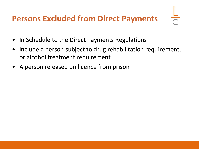### **Persons Excluded from Direct Payments**

- In Schedule to the Direct Payments Regulations
- Include a person subject to drug rehabilitation requirement, or alcohol treatment requirement
- A person released on licence from prison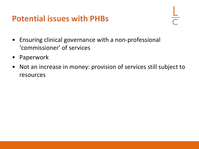#### **Potential issues with PHBs**

- Ensuring clinical governance with a non-professional 'commissioner' of services
- Paperwork
- Not an increase in money: provision of services still subject to resources